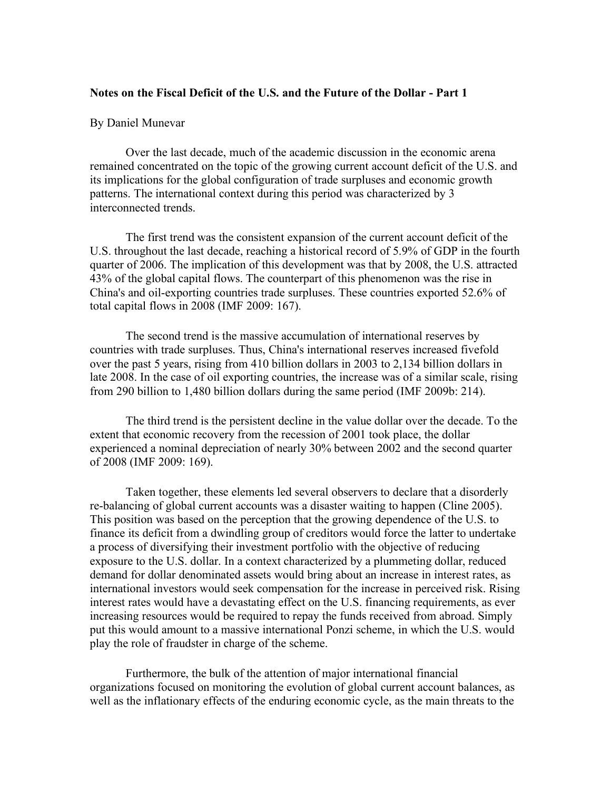# **Notes on the Fiscal Deficit of the U.S. and the Future of the Dollar - Part 1**

## By Daniel Munevar

Over the last decade, much of the academic discussion in the economic arena remained concentrated on the topic of the growing current account deficit of the U.S. and its implications for the global configuration of trade surpluses and economic growth patterns. The international context during this period was characterized by 3 interconnected trends.

The first trend was the consistent expansion of the current account deficit of the U.S. throughout the last decade, reaching a historical record of 5.9% of GDP in the fourth quarter of 2006. The implication of this development was that by 2008, the U.S. attracted 43% of the global capital flows. The counterpart of this phenomenon was the rise in China's and oil-exporting countries trade surpluses. These countries exported 52.6% of total capital flows in 2008 (IMF 2009: 167).

The second trend is the massive accumulation of international reserves by countries with trade surpluses. Thus, China's international reserves increased fivefold over the past 5 years, rising from 410 billion dollars in 2003 to 2,134 billion dollars in late 2008. In the case of oil exporting countries, the increase was of a similar scale, rising from 290 billion to 1,480 billion dollars during the same period (IMF 2009b: 214).

The third trend is the persistent decline in the value dollar over the decade. To the extent that economic recovery from the recession of 2001 took place, the dollar experienced a nominal depreciation of nearly 30% between 2002 and the second quarter of 2008 (IMF 2009: 169).

Taken together, these elements led several observers to declare that a disorderly re-balancing of global current accounts was a disaster waiting to happen (Cline 2005). This position was based on the perception that the growing dependence of the U.S. to finance its deficit from a dwindling group of creditors would force the latter to undertake a process of diversifying their investment portfolio with the objective of reducing exposure to the U.S. dollar. In a context characterized by a plummeting dollar, reduced demand for dollar denominated assets would bring about an increase in interest rates, as international investors would seek compensation for the increase in perceived risk. Rising interest rates would have a devastating effect on the U.S. financing requirements, as ever increasing resources would be required to repay the funds received from abroad. Simply put this would amount to a massive international Ponzi scheme, in which the U.S. would play the role of fraudster in charge of the scheme.

Furthermore, the bulk of the attention of major international financial organizations focused on monitoring the evolution of global current account balances, as well as the inflationary effects of the enduring economic cycle, as the main threats to the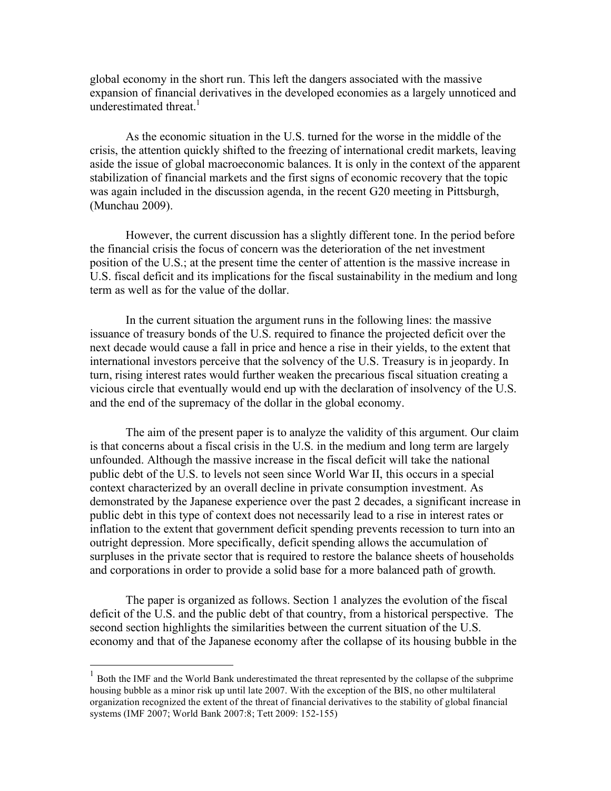global economy in the short run. This left the dangers associated with the massive expansion of financial derivatives in the developed economies as a largely unnoticed and underestimated threat.<sup>1</sup>

As the economic situation in the U.S. turned for the worse in the middle of the crisis, the attention quickly shifted to the freezing of international credit markets, leaving aside the issue of global macroeconomic balances. It is only in the context of the apparent stabilization of financial markets and the first signs of economic recovery that the topic was again included in the discussion agenda, in the recent G20 meeting in Pittsburgh, (Munchau 2009).

However, the current discussion has a slightly different tone. In the period before the financial crisis the focus of concern was the deterioration of the net investment position of the U.S.; at the present time the center of attention is the massive increase in U.S. fiscal deficit and its implications for the fiscal sustainability in the medium and long term as well as for the value of the dollar.

In the current situation the argument runs in the following lines: the massive issuance of treasury bonds of the U.S. required to finance the projected deficit over the next decade would cause a fall in price and hence a rise in their yields, to the extent that international investors perceive that the solvency of the U.S. Treasury is in jeopardy. In turn, rising interest rates would further weaken the precarious fiscal situation creating a vicious circle that eventually would end up with the declaration of insolvency of the U.S. and the end of the supremacy of the dollar in the global economy.

The aim of the present paper is to analyze the validity of this argument. Our claim is that concerns about a fiscal crisis in the U.S. in the medium and long term are largely unfounded. Although the massive increase in the fiscal deficit will take the national public debt of the U.S. to levels not seen since World War II, this occurs in a special context characterized by an overall decline in private consumption investment. As demonstrated by the Japanese experience over the past 2 decades, a significant increase in public debt in this type of context does not necessarily lead to a rise in interest rates or inflation to the extent that government deficit spending prevents recession to turn into an outright depression. More specifically, deficit spending allows the accumulation of surpluses in the private sector that is required to restore the balance sheets of households and corporations in order to provide a solid base for a more balanced path of growth.

The paper is organized as follows. Section 1 analyzes the evolution of the fiscal deficit of the U.S. and the public debt of that country, from a historical perspective. The second section highlights the similarities between the current situation of the U.S. economy and that of the Japanese economy after the collapse of its housing bubble in the

<sup>&</sup>lt;sup>1</sup> Both the IMF and the World Bank underestimated the threat represented by the collapse of the subprime housing bubble as a minor risk up until late 2007. With the exception of the BIS, no other multilateral organization recognized the extent of the threat of financial derivatives to the stability of global financial systems (IMF 2007; World Bank 2007:8; Tett 2009: 152-155)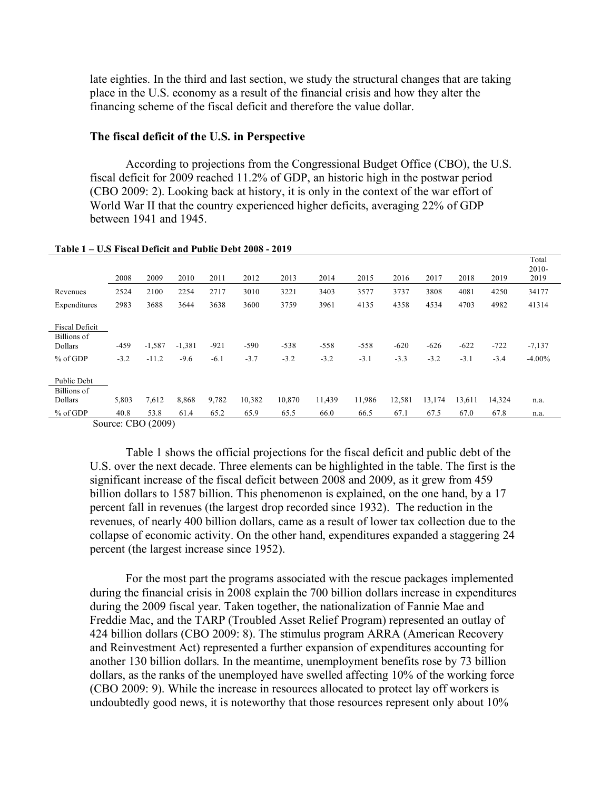late eighties. In the third and last section, we study the structural changes that are taking place in the U.S. economy as a result of the financial crisis and how they alter the financing scheme of the fiscal deficit and therefore the value dollar.

### **The fiscal deficit of the U.S. in Perspective**

According to projections from the Congressional Budget Office (CBO), the U.S. fiscal deficit for 2009 reached 11.2% of GDP, an historic high in the postwar period (CBO 2009: 2). Looking back at history, it is only in the context of the war effort of World War II that the country experienced higher deficits, averaging 22% of GDP between 1941 and 1945.

|                                                               | 2008             | 2009                | 2010               | 2011             | 2012             | 2013             | 2014             | 2015             | 2016             | 2017             | 2018             | 2019             | Total<br>$2010-$<br>2019 |  |
|---------------------------------------------------------------|------------------|---------------------|--------------------|------------------|------------------|------------------|------------------|------------------|------------------|------------------|------------------|------------------|--------------------------|--|
| Revenues                                                      | 2524             | 2100                | 2254               | 2717             | 3010             | 3221             | 3403             | 3577             | 3737             | 3808             | 4081             | 4250             | 34177                    |  |
| Expenditures                                                  | 2983             | 3688                | 3644               | 3638             | 3600             | 3759             | 3961             | 4135             | 4358             | 4534             | 4703             | 4982             | 41314                    |  |
| <b>Fiscal Deficit</b><br>Billions of<br>Dollars<br>$%$ of GDP | $-459$<br>$-3.2$ | $-1,587$<br>$-11.2$ | $-1,381$<br>$-9.6$ | $-921$<br>$-6.1$ | $-590$<br>$-3.7$ | $-538$<br>$-3.2$ | $-558$<br>$-3.2$ | $-558$<br>$-3.1$ | $-620$<br>$-3.3$ | $-626$<br>$-3.2$ | $-622$<br>$-3.1$ | $-722$<br>$-3.4$ | $-7,137$<br>$-4.00\%$    |  |
| Public Debt                                                   |                  |                     |                    |                  |                  |                  |                  |                  |                  |                  |                  |                  |                          |  |
| Billions of<br>Dollars                                        | 5,803            | 7,612               | 8,868              | 9,782            | 10,382           | 10,870           | 11,439           | 11,986           | 12,581           | 13,174           | 13,611           | 14,324           | n.a.                     |  |
| $%$ of GDP                                                    | 40.8             | 53.8                | 61.4               | 65.2             | 65.9             | 65.5             | 66.0             | 66.5             | 67.1             | 67.5             | 67.0             | 67.8             | n.a.                     |  |
| $\sim$                                                        |                  | CDQ(000)            |                    |                  |                  |                  |                  |                  |                  |                  |                  |                  |                          |  |

#### **Table 1 – U.S Fiscal Deficit and Public Debt 2008 - 2019**

Source: CBO (2009)

Table 1 shows the official projections for the fiscal deficit and public debt of the U.S. over the next decade. Three elements can be highlighted in the table. The first is the significant increase of the fiscal deficit between 2008 and 2009, as it grew from 459 billion dollars to 1587 billion. This phenomenon is explained, on the one hand, by a 17 percent fall in revenues (the largest drop recorded since 1932). The reduction in the revenues, of nearly 400 billion dollars, came as a result of lower tax collection due to the collapse of economic activity. On the other hand, expenditures expanded a staggering 24 percent (the largest increase since 1952).

For the most part the programs associated with the rescue packages implemented during the financial crisis in 2008 explain the 700 billion dollars increase in expenditures during the 2009 fiscal year. Taken together, the nationalization of Fannie Mae and Freddie Mac, and the TARP (Troubled Asset Relief Program) represented an outlay of 424 billion dollars (CBO 2009: 8). The stimulus program ARRA (American Recovery and Reinvestment Act) represented a further expansion of expenditures accounting for another 130 billion dollars. In the meantime, unemployment benefits rose by 73 billion dollars, as the ranks of the unemployed have swelled affecting 10% of the working force (CBO 2009: 9). While the increase in resources allocated to protect lay off workers is undoubtedly good news, it is noteworthy that those resources represent only about 10%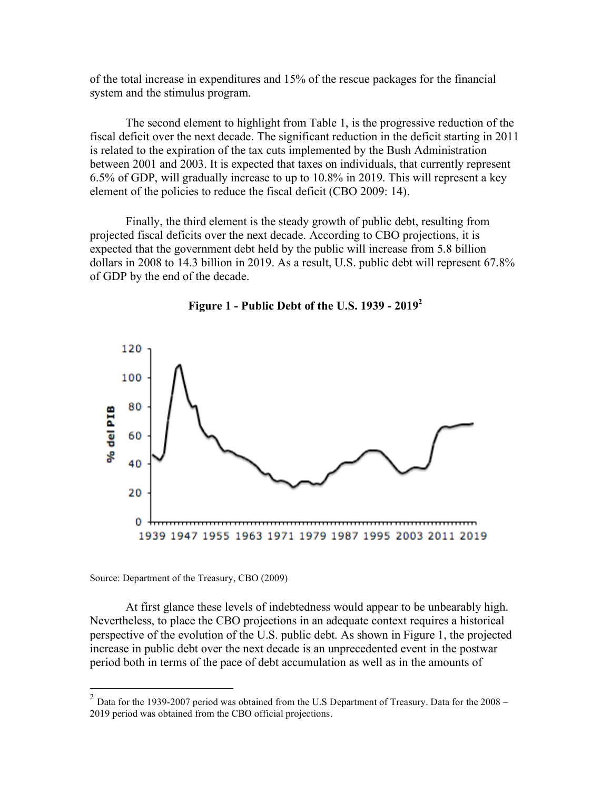of the total increase in expenditures and 15% of the rescue packages for the financial system and the stimulus program.

The second element to highlight from Table 1, is the progressive reduction of the fiscal deficit over the next decade. The significant reduction in the deficit starting in 2011 is related to the expiration of the tax cuts implemented by the Bush Administration between 2001 and 2003. It is expected that taxes on individuals, that currently represent 6.5% of GDP, will gradually increase to up to 10.8% in 2019. This will represent a key element of the policies to reduce the fiscal deficit (CBO 2009: 14).

Finally, the third element is the steady growth of public debt, resulting from projected fiscal deficits over the next decade. According to CBO projections, it is expected that the government debt held by the public will increase from 5.8 billion dollars in 2008 to 14.3 billion in 2019. As a result, U.S. public debt will represent 67.8% of GDP by the end of the decade.





Source: Department of the Treasury, CBO (2009)

At first glance these levels of indebtedness would appear to be unbearably high. Nevertheless, to place the CBO projections in an adequate context requires a historical perspective of the evolution of the U.S. public debt. As shown in Figure 1, the projected increase in public debt over the next decade is an unprecedented event in the postwar period both in terms of the pace of debt accumulation as well as in the amounts of

 $2$  Data for the 1939-2007 period was obtained from the U.S Department of Treasury. Data for the 2008 – 2019 period was obtained from the CBO official projections.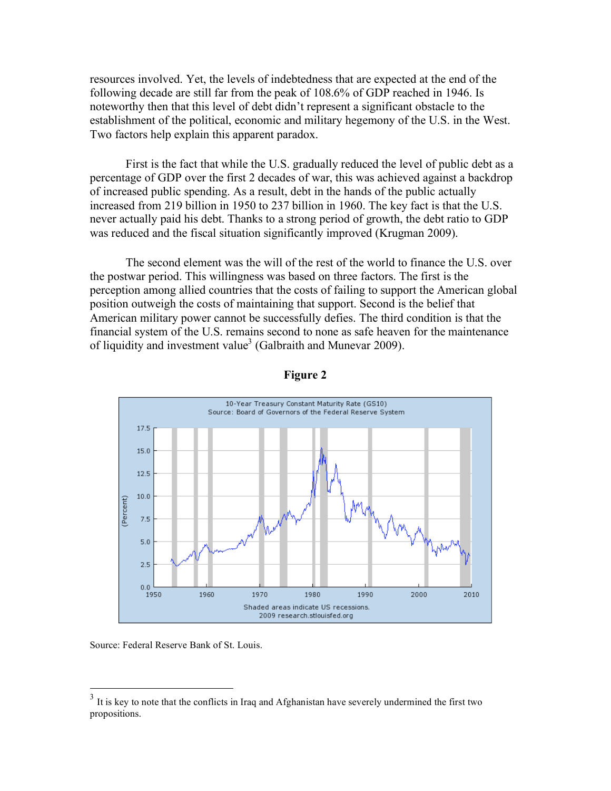resources involved. Yet, the levels of indebtedness that are expected at the end of the following decade are still far from the peak of 108.6% of GDP reached in 1946. Is noteworthy then that this level of debt didn't represent a significant obstacle to the establishment of the political, economic and military hegemony of the U.S. in the West. Two factors help explain this apparent paradox.

First is the fact that while the U.S. gradually reduced the level of public debt as a percentage of GDP over the first 2 decades of war, this was achieved against a backdrop of increased public spending. As a result, debt in the hands of the public actually increased from 219 billion in 1950 to 237 billion in 1960. The key fact is that the U.S. never actually paid his debt. Thanks to a strong period of growth, the debt ratio to GDP was reduced and the fiscal situation significantly improved (Krugman 2009).

The second element was the will of the rest of the world to finance the U.S. over the postwar period. This willingness was based on three factors. The first is the perception among allied countries that the costs of failing to support the American global position outweigh the costs of maintaining that support. Second is the belief that American military power cannot be successfully defies. The third condition is that the financial system of the U.S. remains second to none as safe heaven for the maintenance of liquidity and investment value<sup>3</sup> (Galbraith and Munevar 2009).





Source: Federal Reserve Bank of St. Louis.

<sup>&</sup>lt;sup>3</sup> It is key to note that the conflicts in Iraq and Afghanistan have severely undermined the first two propositions.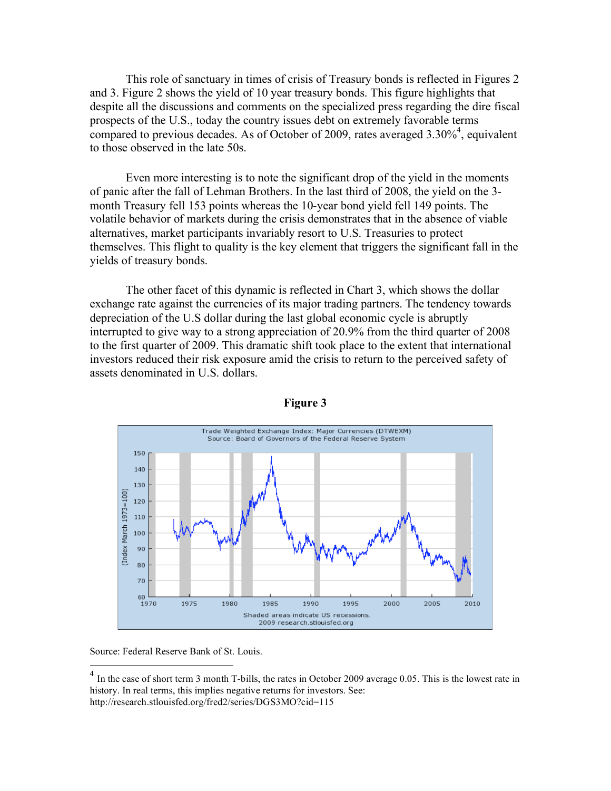This role of sanctuary in times of crisis of Treasury bonds is reflected in Figures 2 and 3. Figure 2 shows the yield of 10 year treasury bonds. This figure highlights that despite all the discussions and comments on the specialized press regarding the dire fiscal prospects of the U.S., today the country issues debt on extremely favorable terms compared to previous decades. As of October of 2009, rates averaged  $3.30\%$ <sup>4</sup>, equivalent to those observed in the late 50s.

Even more interesting is to note the significant drop of the yield in the moments of panic after the fall of Lehman Brothers. In the last third of 2008, the yield on the 3 month Treasury fell 153 points whereas the 10-year bond yield fell 149 points. The volatile behavior of markets during the crisis demonstrates that in the absence of viable alternatives, market participants invariably resort to U.S. Treasuries to protect themselves. This flight to quality is the key element that triggers the significant fall in the yields of treasury bonds.

The other facet of this dynamic is reflected in Chart 3, which shows the dollar exchange rate against the currencies of its major trading partners. The tendency towards depreciation of the U.S dollar during the last global economic cycle is abruptly interrupted to give way to a strong appreciation of 20.9% from the third quarter of 2008 to the first quarter of 2009. This dramatic shift took place to the extent that international investors reduced their risk exposure amid the crisis to return to the perceived safety of assets denominated in U.S. dollars.



### **Figure 3**

Source: Federal Reserve Bank of St. Louis.

<sup>&</sup>lt;sup>4</sup> In the case of short term 3 month T-bills, the rates in October 2009 average 0.05. This is the lowest rate in history. In real terms, this implies negative returns for investors. See: http://research.stlouisfed.org/fred2/series/DGS3MO?cid=115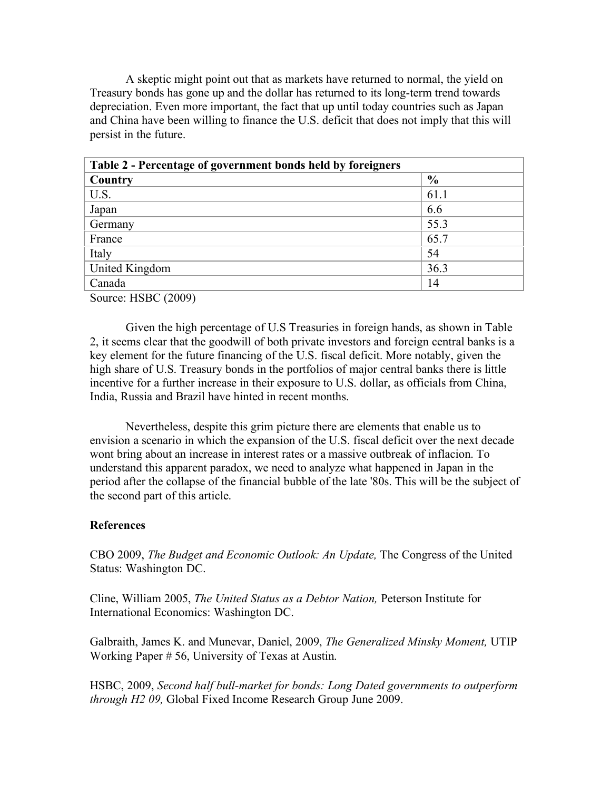A skeptic might point out that as markets have returned to normal, the yield on Treasury bonds has gone up and the dollar has returned to its long-term trend towards depreciation. Even more important, the fact that up until today countries such as Japan and China have been willing to finance the U.S. deficit that does not imply that this will persist in the future.

| Table 2 - Percentage of government bonds held by foreigners |  |  |  |  |  |  |  |
|-------------------------------------------------------------|--|--|--|--|--|--|--|
| $\frac{0}{0}$                                               |  |  |  |  |  |  |  |
| 61.1                                                        |  |  |  |  |  |  |  |
| 6.6                                                         |  |  |  |  |  |  |  |
| 55.3                                                        |  |  |  |  |  |  |  |
| 65.7                                                        |  |  |  |  |  |  |  |
| 54                                                          |  |  |  |  |  |  |  |
| 36.3                                                        |  |  |  |  |  |  |  |
| 14                                                          |  |  |  |  |  |  |  |
|                                                             |  |  |  |  |  |  |  |

Source: HSBC (2009)

Given the high percentage of U.S Treasuries in foreign hands, as shown in Table 2, it seems clear that the goodwill of both private investors and foreign central banks is a key element for the future financing of the U.S. fiscal deficit. More notably, given the high share of U.S. Treasury bonds in the portfolios of major central banks there is little incentive for a further increase in their exposure to U.S. dollar, as officials from China, India, Russia and Brazil have hinted in recent months.

Nevertheless, despite this grim picture there are elements that enable us to envision a scenario in which the expansion of the U.S. fiscal deficit over the next decade wont bring about an increase in interest rates or a massive outbreak of inflacion. To understand this apparent paradox, we need to analyze what happened in Japan in the period after the collapse of the financial bubble of the late '80s. This will be the subject of the second part of this article.

# **References**

CBO 2009, *The Budget and Economic Outlook: An Update,* The Congress of the United Status: Washington DC.

Cline, William 2005, *The United Status as a Debtor Nation,* Peterson Institute for International Economics: Washington DC.

Galbraith, James K. and Munevar, Daniel, 2009, *The Generalized Minsky Moment,* UTIP Working Paper # 56, University of Texas at Austin.

HSBC, 2009, *Second half bull-market for bonds: Long Dated governments to outperform through H2 09,* Global Fixed Income Research Group June 2009.